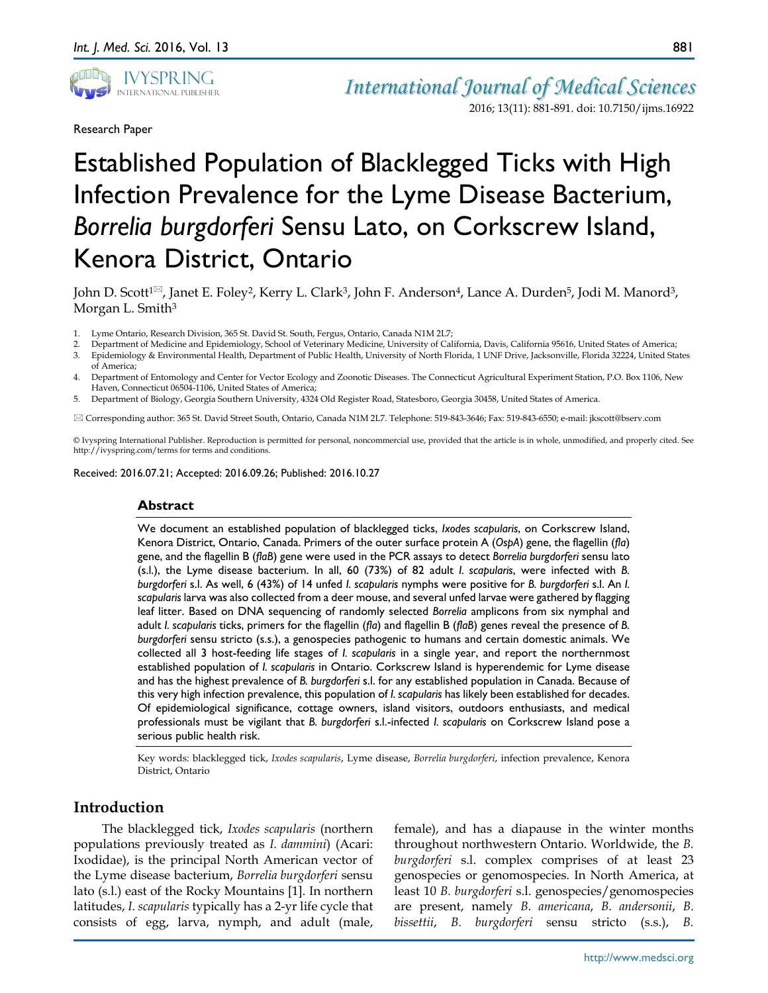

Research Paper

Established Population of Blacklegged Ticks with High

# Infection Prevalence for the Lyme Disease Bacterium, *Borrelia burgdorferi* Sensu Lato, on Corkscrew Island, Kenora District, Ontario

John D. Scott<sup>1⊠</sup>, Janet E. Foley<sup>2</sup>, Kerry L. Clark<sup>3</sup>, John F. Anderson<sup>4</sup>, Lance A. Durden<sup>5</sup>, Jodi M. Manord<sup>3</sup>, Morgan L. Smith<sup>3</sup>

1. Lyme Ontario, Research Division, 365 St. David St. South, Fergus, Ontario, Canada N1M 2L7;

- 2. Department of Medicine and Epidemiology, School of Veterinary Medicine, University of California, Davis, California 95616, United States of America; 3. Epidemiology & Environmental Health, Department of Public Health, University of North Florida, 1 UNF Drive, Jacksonville, Florida 32224, United States of America;
- 4. Department of Entomology and Center for Vector Ecology and Zoonotic Diseases. The Connecticut Agricultural Experiment Station, P.O. Box 1106, New Haven, Connecticut 06504-1106, United States of America;

5. Department of Biology, Georgia Southern University, 4324 Old Register Road, Statesboro, Georgia 30458, United States of America.

Corresponding author: 365 St. David Street South, Ontario, Canada N1M 2L7. Telephone: 519-843-3646; Fax: 519-843-6550; e-mail: jkscott@bserv.com

© Ivyspring International Publisher. Reproduction is permitted for personal, noncommercial use, provided that the article is in whole, unmodified, and properly cited. See http://ivyspring.com/terms for terms and conditions.

Received: 2016.07.21; Accepted: 2016.09.26; Published: 2016.10.27

#### **Abstract**

We document an established population of blacklegged ticks, *Ixodes scapularis*, on Corkscrew Island, Kenora District, Ontario, Canada. Primers of the outer surface protein A (*OspA*) gene, the flagellin (*fla*) gene, and the flagellin B (*flaB*) gene were used in the PCR assays to detect *Borrelia burgdorferi* sensu lato (s.l.), the Lyme disease bacterium. In all, 60 (73%) of 82 adult *I. scapularis*, were infected with *B. burgdorferi* s.l. As well, 6 (43%) of 14 unfed *I. scapularis* nymphs were positive for *B. burgdorferi* s.l. An *I. scapularis* larva was also collected from a deer mouse, and several unfed larvae were gathered by flagging leaf litter. Based on DNA sequencing of randomly selected *Borrelia* amplicons from six nymphal and adult *I. scapularis* ticks, primers for the flagellin (*fla*) and flagellin B (*flaB*) genes reveal the presence of *B. burgdorferi* sensu stricto (s.s.), a genospecies pathogenic to humans and certain domestic animals. We collected all 3 host-feeding life stages of *I. scapularis* in a single year, and report the northernmost established population of *I. scapularis* in Ontario. Corkscrew Island is hyperendemic for Lyme disease and has the highest prevalence of *B. burgdorferi* s.l. for any established population in Canada. Because of this very high infection prevalence, this population of *I. scapularis* has likely been established for decades. Of epidemiological significance, cottage owners, island visitors, outdoors enthusiasts, and medical professionals must be vigilant that *B. burgdorferi* s.l.-infected *I. scapularis* on Corkscrew Island pose a serious public health risk.

Key words: blacklegged tick, *Ixodes scapularis*, Lyme disease, *Borrelia burgdorferi*, infection prevalence, Kenora District, Ontario

## **Introduction**

The blacklegged tick, *Ixodes scapularis* (northern populations previously treated as *I. dammini*) (Acari: Ixodidae), is the principal North American vector of the Lyme disease bacterium, *Borrelia burgdorferi* sensu lato (s.l.) east of the Rocky Mountains [1]. In northern latitudes, *I. scapularis* typically has a 2-yr life cycle that consists of egg, larva, nymph, and adult (male,

female), and has a diapause in the winter months throughout northwestern Ontario. Worldwide, the *B. burgdorferi* s.l. complex comprises of at least 23 genospecies or genomospecies. In North America, at least 10 *B. burgdorferi* s.l. genospecies/genomospecies are present, namely *B. americana*, *B. andersonii*, *B. bissettii*, *B. burgdorferi* sensu stricto (s.s.), *B.*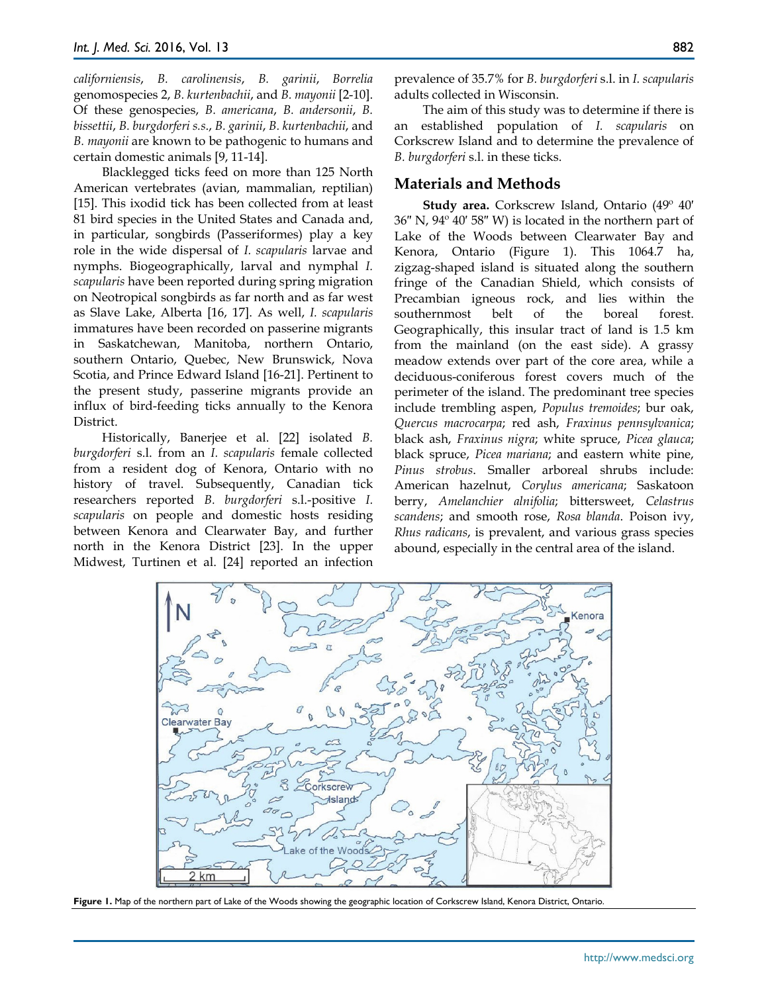*californiensis*, *B. carolinensis*, *B. garinii*, *Borrelia* genomospecies 2, *B. kurtenbachii*, and *B. mayonii* [2-10]. Of these genospecies, *B. americana*, *B. andersonii*, *B. bissettii*, *B. burgdorferi s.s*., *B. garinii*, *B. kurtenbachii*, and *B. mayonii* are known to be pathogenic to humans and certain domestic animals [9, 11-14].

Blacklegged ticks feed on more than 125 North American vertebrates (avian, mammalian, reptilian) [15]. This ixodid tick has been collected from at least 81 bird species in the United States and Canada and, in particular, songbirds (Passeriformes) play a key role in the wide dispersal of *I. scapularis* larvae and nymphs. Biogeographically, larval and nymphal *I. scapularis* have been reported during spring migration on Neotropical songbirds as far north and as far west as Slave Lake, Alberta [16, 17]. As well, *I. scapularis* immatures have been recorded on passerine migrants in Saskatchewan, Manitoba, northern Ontario, southern Ontario, Quebec, New Brunswick, Nova Scotia, and Prince Edward Island [16-21]. Pertinent to the present study, passerine migrants provide an influx of bird-feeding ticks annually to the Kenora District.

Historically, Banerjee et al. [22] isolated *B. burgdorferi* s.l. from an *I. scapularis* female collected from a resident dog of Kenora, Ontario with no history of travel. Subsequently, Canadian tick researchers reported *B. burgdorferi* s.l.-positive *I. scapularis* on people and domestic hosts residing between Kenora and Clearwater Bay, and further north in the Kenora District [23]. In the upper Midwest, Turtinen et al. [24] reported an infection

prevalence of 35.7% for *B. burgdorferi* s.l. in *I. scapularis*  adults collected in Wisconsin.

The aim of this study was to determine if there is an established population of *I. scapularis* on Corkscrew Island and to determine the prevalence of *B. burgdorferi* s.l. in these ticks.

### **Materials and Methods**

**Study area.** Corkscrew Island, Ontario (49º 40′ 36″ N, 94º 40′ 58″ W) is located in the northern part of Lake of the Woods between Clearwater Bay and Kenora, Ontario (Figure 1). This 1064.7 ha, zigzag-shaped island is situated along the southern fringe of the Canadian Shield, which consists of Precambian igneous rock, and lies within the southernmost belt of the boreal forest. Geographically, this insular tract of land is 1.5 km from the mainland (on the east side). A grassy meadow extends over part of the core area, while a deciduous-coniferous forest covers much of the perimeter of the island. The predominant tree species include trembling aspen, *Populus tremoides*; bur oak, *Quercus macrocarpa*; red ash, *Fraxinus pennsylvanica*; black ash, *Fraxinus nigra*; white spruce, *Picea glauca*; black spruce, *Picea mariana*; and eastern white pine, *Pinus strobus*. Smaller arboreal shrubs include: American hazelnut, *Corylus americana*; Saskatoon berry, *Amelanchier alnifolia*; bittersweet, *Celastrus scandens*; and smooth rose, *Rosa blanda*. Poison ivy, *Rhus radicans*, is prevalent, and various grass species abound, especially in the central area of the island.



**Figure 1.** Map of the northern part of Lake of the Woods showing the geographic location of Corkscrew Island, Kenora District, Ontario.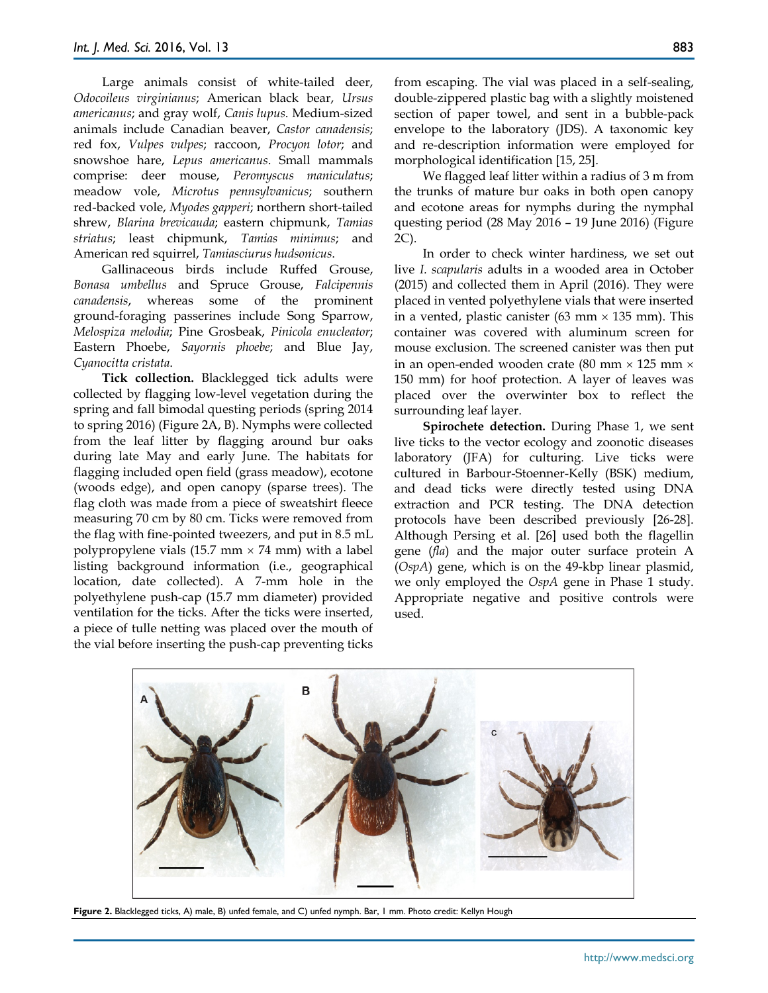Large animals consist of white-tailed deer, *Odocoileus virginianus*; American black bear, *Ursus americanus*; and gray wolf, *Canis lupus*. Medium-sized animals include Canadian beaver, *Castor canadensis*; red fox, *Vulpes vulpes*; raccoon, *Procyon lotor*; and snowshoe hare, *Lepus americanus*. Small mammals comprise: deer mouse, *Peromyscus maniculatus*; meadow vole, *Microtus pennsylvanicus*; southern red-backed vole, *Myodes gapperi*; northern short-tailed shrew, *Blarina brevicauda*; eastern chipmunk, *Tamias striatus*; least chipmunk, *Tamias minimus*; and American red squirrel, *Tamiasciurus hudsonicus*.

Gallinaceous birds include Ruffed Grouse, *Bonasa umbellus* and Spruce Grouse, *Falcipennis canadensis*, whereas some of the prominent ground-foraging passerines include Song Sparrow, *Melospiza melodia*; Pine Grosbeak, *Pinicola enucleator*; Eastern Phoebe, *Sayornis phoebe*; and Blue Jay, *Cyanocitta cristata*.

**Tick collection.** Blacklegged tick adults were collected by flagging low-level vegetation during the spring and fall bimodal questing periods (spring 2014 to spring 2016) (Figure 2A, B). Nymphs were collected from the leaf litter by flagging around bur oaks during late May and early June. The habitats for flagging included open field (grass meadow), ecotone (woods edge), and open canopy (sparse trees). The flag cloth was made from a piece of sweatshirt fleece measuring 70 cm by 80 cm. Ticks were removed from the flag with fine-pointed tweezers, and put in 8.5 mL polypropylene vials (15.7 mm  $\times$  74 mm) with a label listing background information (i.e., geographical location, date collected). A 7-mm hole in the polyethylene push-cap (15.7 mm diameter) provided ventilation for the ticks. After the ticks were inserted, a piece of tulle netting was placed over the mouth of the vial before inserting the push-cap preventing ticks

from escaping. The vial was placed in a self-sealing, double-zippered plastic bag with a slightly moistened section of paper towel, and sent in a bubble-pack envelope to the laboratory (JDS). A taxonomic key and re-description information were employed for morphological identification [15, 25].

We flagged leaf litter within a radius of 3 m from the trunks of mature bur oaks in both open canopy and ecotone areas for nymphs during the nymphal questing period (28 May 2016 – 19 June 2016) (Figure 2C).

In order to check winter hardiness, we set out live *I. scapularis* adults in a wooded area in October (2015) and collected them in April (2016). They were placed in vented polyethylene vials that were inserted in a vented, plastic canister (63 mm  $\times$  135 mm). This container was covered with aluminum screen for mouse exclusion. The screened canister was then put in an open-ended wooden crate (80 mm  $\times$  125 mm  $\times$ 150 mm) for hoof protection. A layer of leaves was placed over the overwinter box to reflect the surrounding leaf layer.

**Spirochete detection.** During Phase 1, we sent live ticks to the vector ecology and zoonotic diseases laboratory (JFA) for culturing. Live ticks were cultured in Barbour-Stoenner-Kelly (BSK) medium, and dead ticks were directly tested using DNA extraction and PCR testing. The DNA detection protocols have been described previously [26-28]. Although Persing et al. [26] used both the flagellin gene (*fla*) and the major outer surface protein A (*OspA*) gene, which is on the 49-kbp linear plasmid, we only employed the *OspA* gene in Phase 1 study. Appropriate negative and positive controls were used.



**Figure 2.** Blacklegged ticks, A) male, B) unfed female, and C) unfed nymph. Bar, 1 mm. Photo credit: Kellyn Hough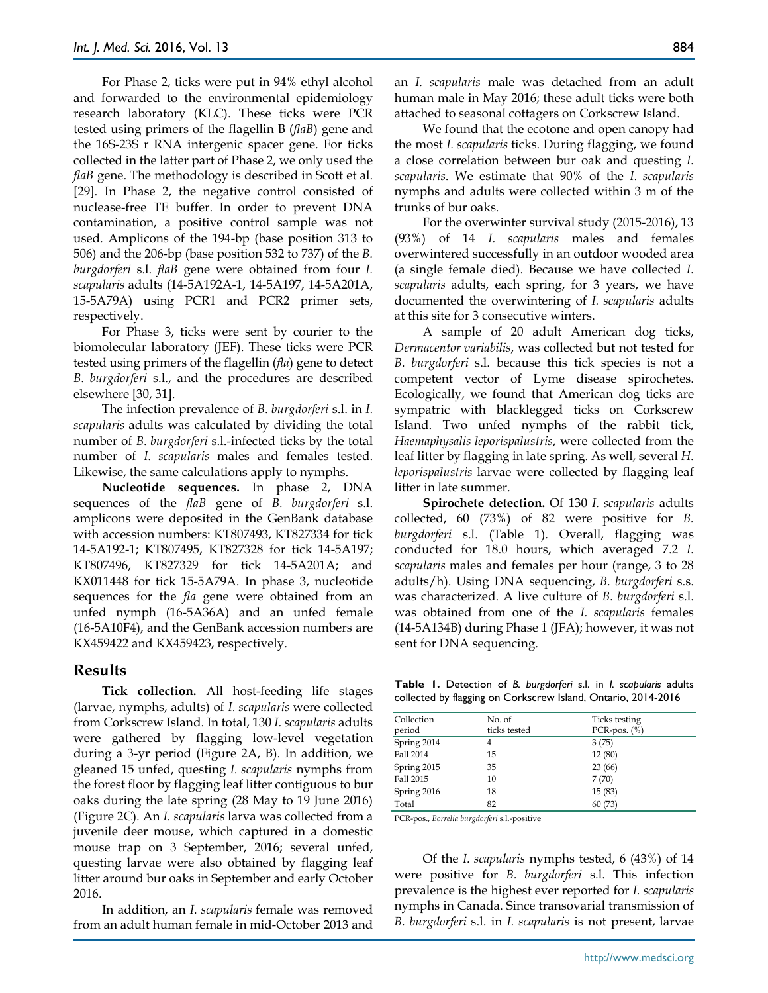For Phase 2, ticks were put in 94% ethyl alcohol and forwarded to the environmental epidemiology research laboratory (KLC). These ticks were PCR tested using primers of the flagellin B (*flaB*) gene and the 16S-23S r RNA intergenic spacer gene. For ticks collected in the latter part of Phase 2, we only used the *flaB* gene. The methodology is described in Scott et al. [29]. In Phase 2, the negative control consisted of nuclease-free TE buffer. In order to prevent DNA contamination, a positive control sample was not used. Amplicons of the 194-bp (base position 313 to 506) and the 206-bp (base position 532 to 737) of the *B. burgdorferi* s.l. *flaB* gene were obtained from four *I. scapularis* adults (14-5A192A-1, 14-5A197, 14-5A201A, 15-5A79A) using PCR1 and PCR2 primer sets, respectively.

For Phase 3, ticks were sent by courier to the biomolecular laboratory (JEF). These ticks were PCR tested using primers of the flagellin (*fla*) gene to detect *B. burgdorferi* s.l., and the procedures are described elsewhere [30, 31].

The infection prevalence of *B. burgdorferi* s.l. in *I. scapularis* adults was calculated by dividing the total number of *B. burgdorferi* s.l.-infected ticks by the total number of *I. scapularis* males and females tested. Likewise, the same calculations apply to nymphs.

**Nucleotide sequences.** In phase 2, DNA sequences of the *flaB* gene of *B. burgdorferi* s.l. amplicons were deposited in the GenBank database with accession numbers: KT807493, KT827334 for tick 14-5A192-1; KT807495, KT827328 for tick 14-5A197; KT807496, KT827329 for tick 14-5A201A; and KX011448 for tick 15-5A79A. In phase 3, nucleotide sequences for the *fla* gene were obtained from an unfed nymph (16-5A36A) and an unfed female (16-5A10F4), and the GenBank accession numbers are KX459422 and KX459423, respectively.

#### **Results**

**Tick collection.** All host-feeding life stages (larvae, nymphs, adults) of *I. scapularis* were collected from Corkscrew Island. In total, 130 *I. scapularis* adults were gathered by flagging low-level vegetation during a 3-yr period (Figure 2A, B). In addition, we gleaned 15 unfed, questing *I. scapularis* nymphs from the forest floor by flagging leaf litter contiguous to bur oaks during the late spring (28 May to 19 June 2016) (Figure 2C). An *I. scapularis* larva was collected from a juvenile deer mouse, which captured in a domestic mouse trap on 3 September, 2016; several unfed, questing larvae were also obtained by flagging leaf litter around bur oaks in September and early October 2016.

In addition, an *I. scapularis* female was removed from an adult human female in mid-October 2013 and an *I. scapularis* male was detached from an adult human male in May 2016; these adult ticks were both attached to seasonal cottagers on Corkscrew Island.

We found that the ecotone and open canopy had the most *I. scapularis* ticks. During flagging, we found a close correlation between bur oak and questing *I. scapularis*. We estimate that 90% of the *I. scapularis* nymphs and adults were collected within 3 m of the trunks of bur oaks.

For the overwinter survival study (2015-2016), 13 (93%) of 14 *I. scapularis* males and females overwintered successfully in an outdoor wooded area (a single female died). Because we have collected *I. scapularis* adults, each spring, for 3 years, we have documented the overwintering of *I. scapularis* adults at this site for 3 consecutive winters.

A sample of 20 adult American dog ticks, *Dermacentor variabilis*, was collected but not tested for *B. burgdorferi* s.l. because this tick species is not a competent vector of Lyme disease spirochetes. Ecologically, we found that American dog ticks are sympatric with blacklegged ticks on Corkscrew Island. Two unfed nymphs of the rabbit tick, *Haemaphysalis leporispalustris*, were collected from the leaf litter by flagging in late spring. As well, several *H. leporispalustris* larvae were collected by flagging leaf litter in late summer.

**Spirochete detection.** Of 130 *I. scapularis* adults collected, 60 (73%) of 82 were positive for *B. burgdorferi* s.l. (Table 1). Overall, flagging was conducted for 18.0 hours, which averaged 7.2 *I. scapularis* males and females per hour (range, 3 to 28 adults/h). Using DNA sequencing, *B. burgdorferi* s.s. was characterized. A live culture of *B. burgdorferi* s.l. was obtained from one of the *I. scapularis* females (14-5A134B) during Phase 1 (JFA); however, it was not sent for DNA sequencing.

**Table 1.** Detection of *B. burgdorferi* s.l. in *I. scapularis* adults collected by flagging on Corkscrew Island, Ontario, 2014-2016

| Collection  | No. of       | Ticks testing   |
|-------------|--------------|-----------------|
| period      | ticks tested | PCR-pos. $(\%)$ |
| Spring 2014 | 4            | 3(75)           |
| Fall 2014   | 15           | 12(80)          |
| Spring 2015 | 35           | 23(66)          |
| Fall 2015   | 10           | 7(70)           |
| Spring 2016 | 18           | 15(83)          |
| Total       | 82           | 60(73)          |

PCR-pos., *Borrelia burgdorferi* s.l.-positive

Of the *I. scapularis* nymphs tested, 6 (43%) of 14 were positive for *B. burgdorferi* s.l. This infection prevalence is the highest ever reported for *I. scapularis* nymphs in Canada. Since transovarial transmission of *B. burgdorferi* s.l. in *I. scapularis* is not present, larvae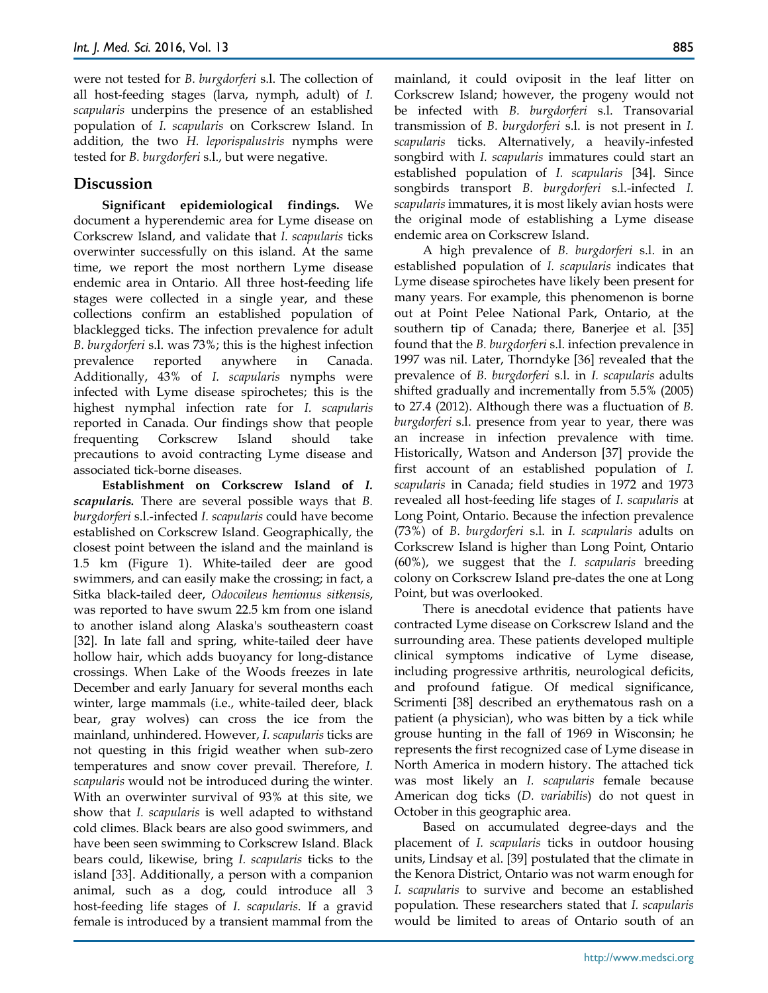were not tested for *B. burgdorferi* s.l. The collection of all host-feeding stages (larva, nymph, adult) of *I. scapularis* underpins the presence of an established population of *I. scapularis* on Corkscrew Island. In addition, the two *H. leporispalustris* nymphs were tested for *B. burgdorferi* s.l., but were negative.

## **Discussion**

**Significant epidemiological findings.** We document a hyperendemic area for Lyme disease on Corkscrew Island, and validate that *I. scapularis* ticks overwinter successfully on this island. At the same time, we report the most northern Lyme disease endemic area in Ontario. All three host-feeding life stages were collected in a single year, and these collections confirm an established population of blacklegged ticks. The infection prevalence for adult *B. burgdorferi* s.l. was 73%; this is the highest infection prevalence reported anywhere in Canada. Additionally, 43% of *I. scapularis* nymphs were infected with Lyme disease spirochetes; this is the highest nymphal infection rate for *I. scapularis*  reported in Canada. Our findings show that people frequenting Corkscrew Island should take precautions to avoid contracting Lyme disease and associated tick-borne diseases.

**Establishment on Corkscrew Island of** *I. scapularis.* There are several possible ways that *B. burgdorferi* s.l.-infected *I. scapularis* could have become established on Corkscrew Island. Geographically, the closest point between the island and the mainland is 1.5 km (Figure 1). White-tailed deer are good swimmers, and can easily make the crossing; in fact, a Sitka black-tailed deer, *Odocoileus hemionus sitkensis*, was reported to have swum 22.5 km from one island to another island along Alaska's southeastern coast [32]. In late fall and spring, white-tailed deer have hollow hair, which adds buoyancy for long-distance crossings. When Lake of the Woods freezes in late December and early January for several months each winter, large mammals (i.e., white-tailed deer, black bear, gray wolves) can cross the ice from the mainland, unhindered. However, *I. scapularis* ticks are not questing in this frigid weather when sub-zero temperatures and snow cover prevail. Therefore, *I. scapularis* would not be introduced during the winter. With an overwinter survival of 93% at this site, we show that *I. scapularis* is well adapted to withstand cold climes. Black bears are also good swimmers, and have been seen swimming to Corkscrew Island. Black bears could, likewise, bring *I. scapularis* ticks to the island [33]. Additionally, a person with a companion animal, such as a dog, could introduce all 3 host-feeding life stages of *I. scapularis*. If a gravid female is introduced by a transient mammal from the

mainland, it could oviposit in the leaf litter on Corkscrew Island; however, the progeny would not be infected with *B. burgdorferi* s.l. Transovarial transmission of *B. burgdorferi* s.l. is not present in *I. scapularis* ticks. Alternatively, a heavily-infested songbird with *I. scapularis* immatures could start an established population of *I. scapularis* [34]. Since songbirds transport *B. burgdorferi* s.l.-infected *I. scapularis* immatures, it is most likely avian hosts were the original mode of establishing a Lyme disease endemic area on Corkscrew Island.

A high prevalence of *B. burgdorferi* s.l. in an established population of *I. scapularis* indicates that Lyme disease spirochetes have likely been present for many years. For example, this phenomenon is borne out at Point Pelee National Park, Ontario, at the southern tip of Canada; there, Banerjee et al. [35] found that the *B. burgdorferi* s.l. infection prevalence in 1997 was nil. Later, Thorndyke [36] revealed that the prevalence of *B. burgdorferi* s.l. in *I. scapularis* adults shifted gradually and incrementally from 5.5% (2005) to 27.4 (2012). Although there was a fluctuation of *B. burgdorferi* s.l. presence from year to year, there was an increase in infection prevalence with time. Historically, Watson and Anderson [37] provide the first account of an established population of *I. scapularis* in Canada; field studies in 1972 and 1973 revealed all host-feeding life stages of *I. scapularis* at Long Point, Ontario. Because the infection prevalence (73%) of *B. burgdorferi* s.l. in *I. scapularis* adults on Corkscrew Island is higher than Long Point, Ontario (60%), we suggest that the *I. scapularis* breeding colony on Corkscrew Island pre-dates the one at Long Point, but was overlooked.

There is anecdotal evidence that patients have contracted Lyme disease on Corkscrew Island and the surrounding area. These patients developed multiple clinical symptoms indicative of Lyme disease, including progressive arthritis, neurological deficits, and profound fatigue. Of medical significance, Scrimenti [38] described an erythematous rash on a patient (a physician), who was bitten by a tick while grouse hunting in the fall of 1969 in Wisconsin; he represents the first recognized case of Lyme disease in North America in modern history. The attached tick was most likely an *I. scapularis* female because American dog ticks (*D. variabilis*) do not quest in October in this geographic area.

Based on accumulated degree-days and the placement of *I. scapularis* ticks in outdoor housing units, Lindsay et al. [39] postulated that the climate in the Kenora District, Ontario was not warm enough for *I. scapularis* to survive and become an established population. These researchers stated that *I. scapularis* would be limited to areas of Ontario south of an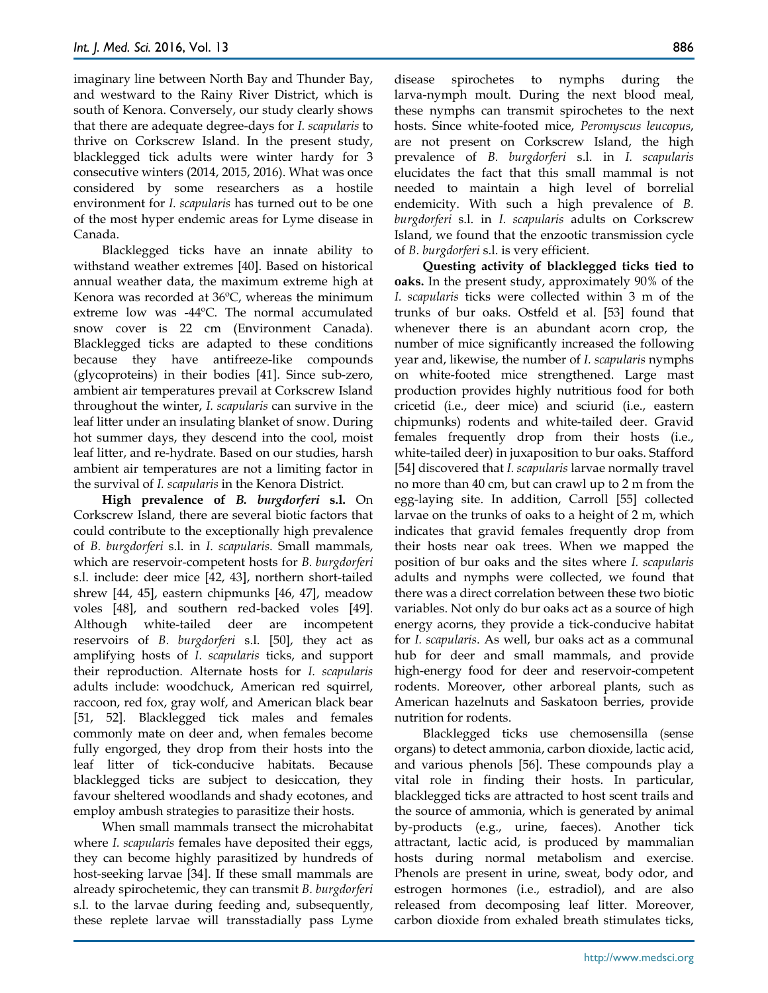imaginary line between North Bay and Thunder Bay, and westward to the Rainy River District, which is south of Kenora. Conversely, our study clearly shows that there are adequate degree-days for *I. scapularis* to thrive on Corkscrew Island. In the present study, blacklegged tick adults were winter hardy for 3 consecutive winters (2014, 2015, 2016). What was once considered by some researchers as a hostile environment for *I. scapularis* has turned out to be one of the most hyper endemic areas for Lyme disease in Canada.

Blacklegged ticks have an innate ability to withstand weather extremes [40]. Based on historical annual weather data, the maximum extreme high at Kenora was recorded at 36ºC, whereas the minimum extreme low was -44ºC. The normal accumulated snow cover is 22 cm (Environment Canada). Blacklegged ticks are adapted to these conditions because they have antifreeze-like compounds (glycoproteins) in their bodies [41]. Since sub-zero, ambient air temperatures prevail at Corkscrew Island throughout the winter, *I. scapularis* can survive in the leaf litter under an insulating blanket of snow. During hot summer days, they descend into the cool, moist leaf litter, and re-hydrate. Based on our studies, harsh ambient air temperatures are not a limiting factor in the survival of *I. scapularis* in the Kenora District.

**High prevalence of** *B. burgdorferi* **s.l.** On Corkscrew Island, there are several biotic factors that could contribute to the exceptionally high prevalence of *B. burgdorferi* s.l. in *I. scapularis*. Small mammals, which are reservoir-competent hosts for *B. burgdorferi* s.l. include: deer mice [42, 43], northern short-tailed shrew [44, 45], eastern chipmunks [46, 47], meadow voles [48], and southern red-backed voles [49]. Although white-tailed deer are incompetent reservoirs of *B. burgdorferi* s.l. [50], they act as amplifying hosts of *I. scapularis* ticks, and support their reproduction. Alternate hosts for *I. scapularis* adults include: woodchuck, American red squirrel, raccoon, red fox, gray wolf, and American black bear [51, 52]. Blacklegged tick males and females commonly mate on deer and, when females become fully engorged, they drop from their hosts into the leaf litter of tick-conducive habitats. Because blacklegged ticks are subject to desiccation, they favour sheltered woodlands and shady ecotones, and employ ambush strategies to parasitize their hosts.

When small mammals transect the microhabitat where *I. scapularis* females have deposited their eggs, they can become highly parasitized by hundreds of host-seeking larvae [34]. If these small mammals are already spirochetemic, they can transmit *B. burgdorferi*  s.l. to the larvae during feeding and, subsequently, these replete larvae will transstadially pass Lyme

disease spirochetes to nymphs during the larva-nymph moult. During the next blood meal, these nymphs can transmit spirochetes to the next hosts. Since white-footed mice, *Peromyscus leucopus*, are not present on Corkscrew Island, the high prevalence of *B. burgdorferi* s.l. in *I. scapularis* elucidates the fact that this small mammal is not needed to maintain a high level of borrelial endemicity. With such a high prevalence of *B. burgdorferi* s.l. in *I. scapularis* adults on Corkscrew Island, we found that the enzootic transmission cycle of *B. burgdorferi* s.l. is very efficient.

**Questing activity of blacklegged ticks tied to oaks.** In the present study, approximately 90% of the *I. scapularis* ticks were collected within 3 m of the trunks of bur oaks. Ostfeld et al. [53] found that whenever there is an abundant acorn crop, the number of mice significantly increased the following year and, likewise, the number of *I. scapularis* nymphs on white-footed mice strengthened. Large mast production provides highly nutritious food for both cricetid (i.e., deer mice) and sciurid (i.e., eastern chipmunks) rodents and white-tailed deer. Gravid females frequently drop from their hosts (i.e., white-tailed deer) in juxaposition to bur oaks. Stafford [54] discovered that *I. scapularis* larvae normally travel no more than 40 cm, but can crawl up to 2 m from the egg-laying site. In addition, Carroll [55] collected larvae on the trunks of oaks to a height of 2 m, which indicates that gravid females frequently drop from their hosts near oak trees. When we mapped the position of bur oaks and the sites where *I. scapularis* adults and nymphs were collected, we found that there was a direct correlation between these two biotic variables. Not only do bur oaks act as a source of high energy acorns, they provide a tick-conducive habitat for *I. scapularis*. As well, bur oaks act as a communal hub for deer and small mammals, and provide high-energy food for deer and reservoir-competent rodents. Moreover, other arboreal plants, such as American hazelnuts and Saskatoon berries, provide nutrition for rodents.

Blacklegged ticks use chemosensilla (sense organs) to detect ammonia, carbon dioxide, lactic acid, and various phenols [56]. These compounds play a vital role in finding their hosts. In particular, blacklegged ticks are attracted to host scent trails and the source of ammonia, which is generated by animal by-products (e.g., urine, faeces). Another tick attractant, lactic acid, is produced by mammalian hosts during normal metabolism and exercise. Phenols are present in urine, sweat, body odor, and estrogen hormones (i.e., estradiol), and are also released from decomposing leaf litter. Moreover, carbon dioxide from exhaled breath stimulates ticks,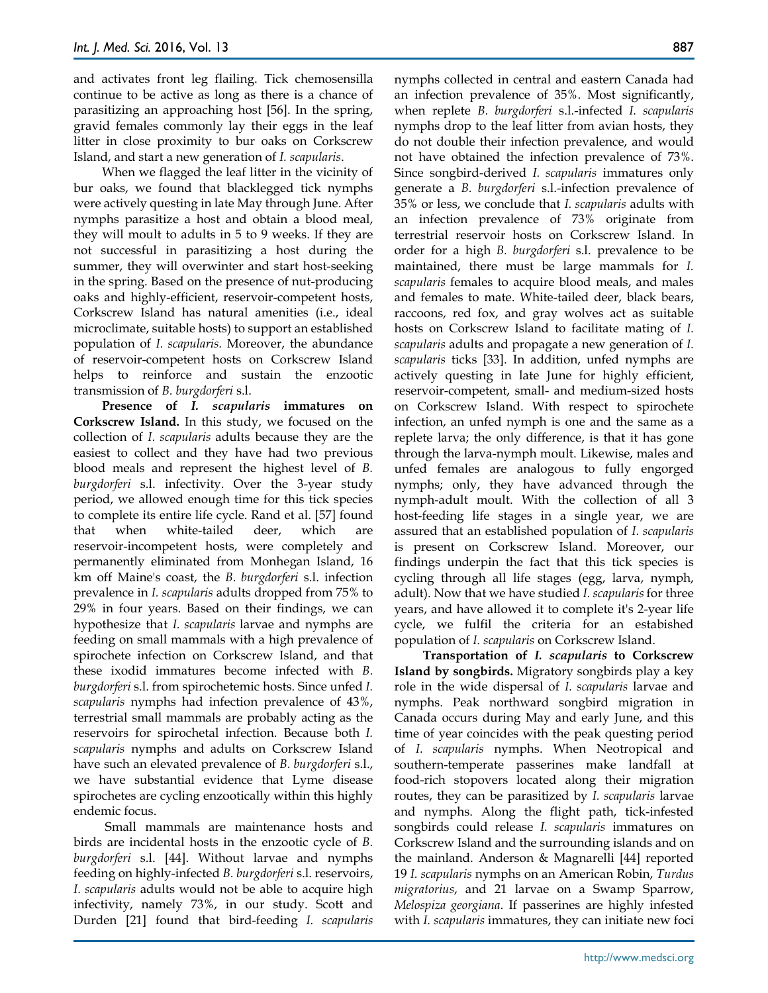and activates front leg flailing. Tick chemosensilla continue to be active as long as there is a chance of parasitizing an approaching host [56]. In the spring, gravid females commonly lay their eggs in the leaf litter in close proximity to bur oaks on Corkscrew Island, and start a new generation of *I. scapularis*.

When we flagged the leaf litter in the vicinity of bur oaks, we found that blacklegged tick nymphs were actively questing in late May through June. After nymphs parasitize a host and obtain a blood meal, they will moult to adults in 5 to 9 weeks. If they are not successful in parasitizing a host during the summer, they will overwinter and start host-seeking in the spring. Based on the presence of nut-producing oaks and highly-efficient, reservoir-competent hosts, Corkscrew Island has natural amenities (i.e., ideal microclimate, suitable hosts) to support an established population of *I. scapularis.* Moreover, the abundance of reservoir-competent hosts on Corkscrew Island helps to reinforce and sustain the enzootic transmission of *B. burgdorferi* s.l.

**Presence of** *I. scapularis* **immatures on Corkscrew Island.** In this study, we focused on the collection of *I. scapularis* adults because they are the easiest to collect and they have had two previous blood meals and represent the highest level of *B. burgdorferi* s.l. infectivity. Over the 3-year study period, we allowed enough time for this tick species to complete its entire life cycle. Rand et al. [57] found that when white-tailed deer, which are reservoir-incompetent hosts, were completely and permanently eliminated from Monhegan Island, 16 km off Maine's coast, the *B. burgdorferi* s.l. infection prevalence in *I. scapularis* adults dropped from 75% to 29% in four years. Based on their findings, we can hypothesize that *I. scapularis* larvae and nymphs are feeding on small mammals with a high prevalence of spirochete infection on Corkscrew Island, and that these ixodid immatures become infected with *B. burgdorferi* s.l. from spirochetemic hosts. Since unfed *I. scapularis* nymphs had infection prevalence of 43%, terrestrial small mammals are probably acting as the reservoirs for spirochetal infection. Because both *I. scapularis* nymphs and adults on Corkscrew Island have such an elevated prevalence of *B. burgdorferi* s.l., we have substantial evidence that Lyme disease spirochetes are cycling enzootically within this highly endemic focus.

Small mammals are maintenance hosts and birds are incidental hosts in the enzootic cycle of *B. burgdorferi* s.l. [44]. Without larvae and nymphs feeding on highly-infected *B. burgdorferi* s.l. reservoirs, *I. scapularis* adults would not be able to acquire high infectivity, namely 73%, in our study. Scott and Durden [21] found that bird-feeding *I. scapularis* 

nymphs collected in central and eastern Canada had an infection prevalence of 35%. Most significantly, when replete *B. burgdorferi* s.l.-infected *I. scapularis*  nymphs drop to the leaf litter from avian hosts, they do not double their infection prevalence, and would not have obtained the infection prevalence of 73%. Since songbird-derived *I. scapularis* immatures only generate a *B. burgdorferi* s.l.-infection prevalence of 35% or less, we conclude that *I. scapularis* adults with an infection prevalence of 73% originate from terrestrial reservoir hosts on Corkscrew Island. In order for a high *B. burgdorferi* s.l. prevalence to be maintained, there must be large mammals for *I. scapularis* females to acquire blood meals, and males and females to mate. White-tailed deer, black bears, raccoons, red fox, and gray wolves act as suitable hosts on Corkscrew Island to facilitate mating of *I. scapularis* adults and propagate a new generation of *I. scapularis* ticks [33]. In addition, unfed nymphs are actively questing in late June for highly efficient, reservoir-competent, small- and medium-sized hosts on Corkscrew Island. With respect to spirochete infection, an unfed nymph is one and the same as a replete larva; the only difference, is that it has gone through the larva-nymph moult. Likewise, males and unfed females are analogous to fully engorged nymphs; only, they have advanced through the nymph-adult moult. With the collection of all 3 host-feeding life stages in a single year, we are assured that an established population of *I. scapularis* is present on Corkscrew Island. Moreover, our findings underpin the fact that this tick species is cycling through all life stages (egg, larva, nymph, adult). Now that we have studied *I. scapularis* for three years, and have allowed it to complete it's 2-year life cycle, we fulfil the criteria for an estabished population of *I. scapularis* on Corkscrew Island.

**Transportation of** *I. scapularis* **to Corkscrew Island by songbirds.** Migratory songbirds play a key role in the wide dispersal of *I. scapularis* larvae and nymphs. Peak northward songbird migration in Canada occurs during May and early June, and this time of year coincides with the peak questing period of *I. scapularis* nymphs. When Neotropical and southern-temperate passerines make landfall at food-rich stopovers located along their migration routes, they can be parasitized by *I. scapularis* larvae and nymphs. Along the flight path, tick-infested songbirds could release *I. scapularis* immatures on Corkscrew Island and the surrounding islands and on the mainland. Anderson & Magnarelli [44] reported 19 *I. scapularis* nymphs on an American Robin, *Turdus migratorius*, and 21 larvae on a Swamp Sparrow, *Melospiza georgiana*. If passerines are highly infested with *I. scapularis* immatures, they can initiate new foci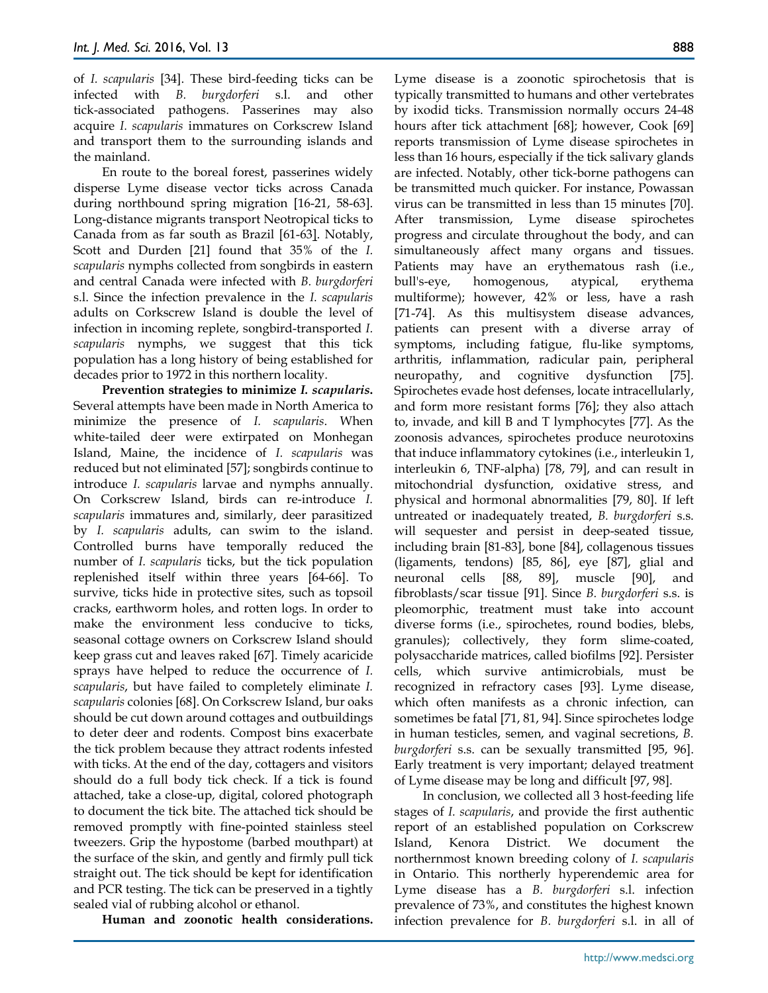of *I. scapularis* [34]. These bird-feeding ticks can be infected with *B. burgdorferi* s.l. and other tick-associated pathogens. Passerines may also acquire *I. scapularis* immatures on Corkscrew Island and transport them to the surrounding islands and the mainland.

En route to the boreal forest, passerines widely disperse Lyme disease vector ticks across Canada during northbound spring migration [16-21, 58-63]. Long-distance migrants transport Neotropical ticks to Canada from as far south as Brazil [61-63]. Notably, Scott and Durden [21] found that 35% of the *I. scapularis* nymphs collected from songbirds in eastern and central Canada were infected with *B. burgdorferi* s.l. Since the infection prevalence in the *I. scapularis* adults on Corkscrew Island is double the level of infection in incoming replete, songbird-transported *I. scapularis* nymphs, we suggest that this tick population has a long history of being established for decades prior to 1972 in this northern locality.

**Prevention strategies to minimize** *I. scapularis***.** Several attempts have been made in North America to minimize the presence of *I. scapularis*. When white-tailed deer were extirpated on Monhegan Island, Maine, the incidence of *I. scapularis* was reduced but not eliminated [57]; songbirds continue to introduce *I. scapularis* larvae and nymphs annually. On Corkscrew Island, birds can re-introduce *I. scapularis* immatures and, similarly, deer parasitized by *I. scapularis* adults, can swim to the island. Controlled burns have temporally reduced the number of *I. scapularis* ticks, but the tick population replenished itself within three years [64-66]. To survive, ticks hide in protective sites, such as topsoil cracks, earthworm holes, and rotten logs. In order to make the environment less conducive to ticks, seasonal cottage owners on Corkscrew Island should keep grass cut and leaves raked [67]. Timely acaricide sprays have helped to reduce the occurrence of *I. scapularis*, but have failed to completely eliminate *I. scapularis* colonies [68]. On Corkscrew Island, bur oaks should be cut down around cottages and outbuildings to deter deer and rodents. Compost bins exacerbate the tick problem because they attract rodents infested with ticks. At the end of the day, cottagers and visitors should do a full body tick check. If a tick is found attached, take a close-up, digital, colored photograph to document the tick bite. The attached tick should be removed promptly with fine-pointed stainless steel tweezers. Grip the hypostome (barbed mouthpart) at the surface of the skin, and gently and firmly pull tick straight out. The tick should be kept for identification and PCR testing. The tick can be preserved in a tightly sealed vial of rubbing alcohol or ethanol.

Lyme disease is a zoonotic spirochetosis that is typically transmitted to humans and other vertebrates by ixodid ticks. Transmission normally occurs 24-48 hours after tick attachment [68]; however, Cook [69] reports transmission of Lyme disease spirochetes in less than 16 hours, especially if the tick salivary glands are infected. Notably, other tick-borne pathogens can be transmitted much quicker. For instance, Powassan virus can be transmitted in less than 15 minutes [70]. After transmission, Lyme disease spirochetes progress and circulate throughout the body, and can simultaneously affect many organs and tissues. Patients may have an erythematous rash (i.e., bull's-eye, homogenous, atypical, erythema multiforme); however, 42% or less, have a rash [71-74]. As this multisystem disease advances, patients can present with a diverse array of symptoms, including fatigue, flu-like symptoms, arthritis, inflammation, radicular pain, peripheral neuropathy, and cognitive dysfunction [75]. Spirochetes evade host defenses, locate intracellularly, and form more resistant forms [76]; they also attach to, invade, and kill B and T lymphocytes [77]. As the zoonosis advances, spirochetes produce neurotoxins that induce inflammatory cytokines (i.e., interleukin 1, interleukin 6, TNF-alpha) [78, 79], and can result in mitochondrial dysfunction, oxidative stress, and physical and hormonal abnormalities [79, 80]. If left untreated or inadequately treated, *B. burgdorferi* s.s. will sequester and persist in deep-seated tissue, including brain [81-83], bone [84], collagenous tissues (ligaments, tendons) [85, 86], eye [87], glial and neuronal cells [88, 89], muscle [90], and fibroblasts/scar tissue [91]. Since *B. burgdorferi* s.s. is pleomorphic, treatment must take into account diverse forms (i.e., spirochetes, round bodies, blebs, granules); collectively, they form slime-coated, polysaccharide matrices, called biofilms [92]. Persister cells, which survive antimicrobials, must be recognized in refractory cases [93]. Lyme disease, which often manifests as a chronic infection, can sometimes be fatal [71, 81, 94]. Since spirochetes lodge in human testicles, semen, and vaginal secretions, *B. burgdorferi* s.s. can be sexually transmitted [95, 96]. Early treatment is very important; delayed treatment of Lyme disease may be long and difficult [97, 98].

In conclusion, we collected all 3 host-feeding life stages of *I. scapularis*, and provide the first authentic report of an established population on Corkscrew Island, Kenora District. We document the northernmost known breeding colony of *I. scapularis* in Ontario. This northerly hyperendemic area for Lyme disease has a *B. burgdorferi* s.l. infection prevalence of 73%, and constitutes the highest known infection prevalence for *B. burgdorferi* s.l. in all of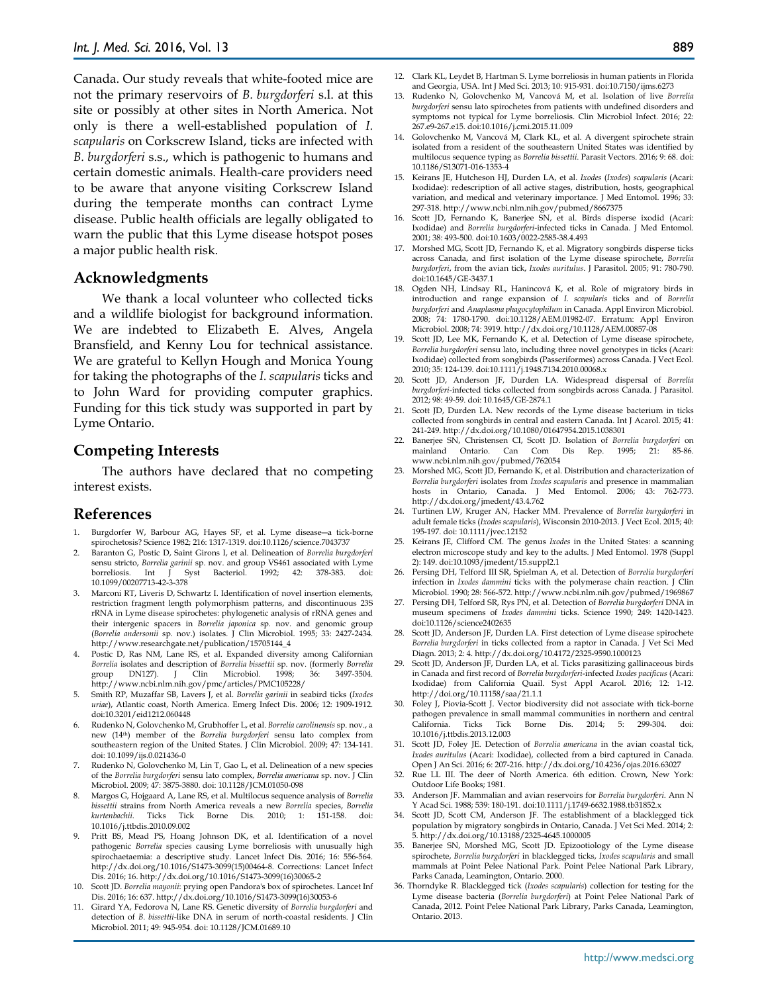Canada. Our study reveals that white-footed mice are not the primary reservoirs of *B. burgdorferi* s.l. at this site or possibly at other sites in North America. Not only is there a well-established population of *I. scapularis* on Corkscrew Island, ticks are infected with *B. burgdorferi* s.s., which is pathogenic to humans and certain domestic animals. Health-care providers need to be aware that anyone visiting Corkscrew Island during the temperate months can contract Lyme disease. Public health officials are legally obligated to warn the public that this Lyme disease hotspot poses a major public health risk.

#### **Acknowledgments**

We thank a local volunteer who collected ticks and a wildlife biologist for background information. We are indebted to Elizabeth E. Alves, Angela Bransfield, and Kenny Lou for technical assistance. We are grateful to Kellyn Hough and Monica Young for taking the photographs of the *I. scapularis* ticks and to John Ward for providing computer graphics. Funding for this tick study was supported in part by Lyme Ontario.

#### **Competing Interests**

The authors have declared that no competing interest exists.

#### **References**

- 1. Burgdorfer W, Barbour AG, Hayes SF, et al. Lyme disease―a tick-borne spirochetosis? Science 1982; 216: 1317-1319. doi:10.1126/science.7043737
- 2. Baranton G, Postic D, Saint Girons I, et al. Delineation of *Borrelia burgdorferi* sensu stricto, *Borrelia garinii* sp. nov. and group VS461 associated with Lyme borreliosis. Int J Syst Bacteriol. 1992; 42: 378-383. doi: 10.1099/00207713-42-3-378
- Marconi RT, Liveris D, Schwartz I. Identification of novel insertion elements, restriction fragment length polymorphism patterns, and discontinuous 23S rRNA in Lyme disease spirochetes: phylogenetic analysis of rRNA genes and their intergenic spacers in *Borrelia japonica* sp. nov. and genomic group (*Borrelia andersonii* sp. nov.) isolates. J Clin Microbiol. 1995; 33: 2427-2434. http://www.researchgate.net/publication/15705144\_4
- 4. Postic D, Ras NM, Lane RS, et al. Expanded diversity among Californian *Borrelia* isolates and description of *Borrelia bissettii* sp. nov. (formerly *Borrelia* group DN127). J Clin Microbiol. 1998; 36: 3497-3504. http://www.ncbi.nlm.nih.gov/pmc/articles/PMC105228/
- 5. Smith RP, Muzaffar SB, Lavers J, et al. *Borrelia garinii* in seabird ticks (*Ixodes uriae*), Atlantic coast, North America. Emerg Infect Dis. 2006; 12: 1909-1912. doi:10.3201/eid1212.060448
- 6. Rudenko N, Golovchenko M, Grubhoffer L, et al. *Borrelia carolinensis* sp. nov., a new (14th) member of the *Borrelia burgdorferi* sensu lato complex from southeastern region of the United States. J Clin Microbiol. 2009; 47: 134-141. doi: 10.1099/ijs.0.021436-0
- Rudenko N, Golovchenko M, Lin T, Gao L, et al. Delineation of a new species of the *Borrelia burgdorferi* sensu lato complex, *Borrelia americana* sp. nov. J Clin Microbiol. 2009; 47: 3875-3880. doi: 10.1128/JCM.01050-098
- 8. Margos G, Hojgaard A, Lane RS, et al. Multilocus sequence analysis of *Borrelia bissettii* strains from North America reveals a new *Borrelia* species, *Borrelia kurtenbachii*. Ticks Tick Borne Dis. 2010; 1: 151-158. doi: 10.1016/j.ttbdis.2010.09.002
- 9. Pritt BS, Mead PS, Hoang Johnson DK, et al. Identification of a novel pathogenic *Borrelia* species causing Lyme borreliosis with unusually high spirochaetaemia: a descriptive study. Lancet Infect Dis. 2016; 16: 556-564. http://dx.doi.org/10.1016/S1473-3099(15)00464-8. Corrections: Lancet Infect Dis. 2016; 16. http://dx.doi.org/10.1016/S1473-3099(16)30065-2
- 10. Scott JD. *Borrelia mayonii*: prying open Pandora's box of spirochetes. Lancet Inf Dis. 2016; 16: 637. http://dx.doi.org/10.1016/S1473-3099(16)30053-6
- 11. Girard YA, Fedorova N, Lane RS. Genetic diversity of *Borrelia burgdorferi* and detection of *B. bissettii*-like DNA in serum of north-coastal residents. J Clin Microbiol. 2011; 49: 945-954. doi: 10.1128/JCM.01689.10
- 12. Clark KL, Leydet B, Hartman S. Lyme borreliosis in human patients in Florida and Georgia, USA. Int J Med Sci. 2013; 10: 915-931. doi:10.7150/ijms.6273
- 13. Rudenko N, Golovchenko M, Vancová M, et al. Isolation of live *Borrelia burgdorferi* sensu lato spirochetes from patients with undefined disorders and symptoms not typical for Lyme borreliosis. Clin Microbiol Infect. 2016; 22: 267.e9-267.e15. doi:10.1016/j.cmi.2015.11.009
- 14. Golovchenko M, Vancová M, Clark KL, et al. A divergent spirochete strain isolated from a resident of the southeastern United States was identified by multilocus sequence typing as *Borrelia bissettii*. Parasit Vectors. 2016; 9: 68. doi: 10.1186/S13071-016-1353-4
- 15. Keirans JE, Hutcheson HJ, Durden LA, et al. *Ixodes* (*Ixodes*) *scapularis* (Acari: Ixodidae): redescription of all active stages, distribution, hosts, geographical variation, and medical and veterinary importance. J Med Entomol. 1996; 33: 297-318. http://www.ncbi.nlm.nih.gov/pubmed/8667375
- 16. Scott JD, Fernando K, Banerjee SN, et al. Birds disperse ixodid (Acari: Ixodidae) and *Borrelia burgdorferi*-infected ticks in Canada. J Med Entomol. 2001; 38: 493-500. doi:10.1603/0022-2585-38.4.493
- 17. Morshed MG, Scott JD, Fernando K, et al. Migratory songbirds disperse ticks across Canada, and first isolation of the Lyme disease spirochete, *Borrelia burgdorferi*, from the avian tick, *Ixodes auritulus*. J Parasitol. 2005; 91: 780-790. doi:10.1645/GE-3437.1
- 18. Ogden NH, Lindsay RL, Hanincová K, et al. Role of migratory birds in introduction and range expansion of *I. scapularis* ticks and of *Borrelia burgdorferi* and *Anaplasma phagocytophilum* in Canada. Appl Environ Microbiol. 2008; 74: 1780-1790. doi:10.1128/AEM.01982-07. Erratum: Appl Environ Microbiol. 2008; 74: 3919. http://dx.doi.org/10.1128/AEM.00857-08
- 19. Scott JD, Lee MK, Fernando K, et al. Detection of Lyme disease spirochete, *Borrelia burgdorferi* sensu lato, including three novel genotypes in ticks (Acari: Ixodidae) collected from songbirds (Passeriformes) across Canada. J Vect Ecol. 2010; 35: 124-139. doi:10.1111/j.1948.7134.2010.00068.x
- 20. Scott JD, Anderson JF, Durden LA. Widespread dispersal of *Borrelia burgdorferi*-infected ticks collected from songbirds across Canada. J Parasitol. 2012; 98: 49-59. doi: 10.1645/GE-2874.1
- 21. Scott JD, Durden LA. New records of the Lyme disease bacterium in ticks collected from songbirds in central and eastern Canada. Int J Acarol. 2015; 41: 241-249. http://dx.doi.org/10.1080/01647954.2015.1038301
- 22. Banerjee SN, Christensen CI, Scott JD. Isolation of *Borrelia burgdorferi* on mainland Ontario. Can Com Dis Rep. 1995; 21: 85-86. www.ncbi.nlm.nih.gov/pubmed/762054
- 23. Morshed MG, Scott JD, Fernando K, et al. Distribution and characterization of *Borrelia burgdorferi* isolates from *Ixodes scapularis* and presence in mammalian hosts in Ontario, Canada. J Med Entomol. 2006; 43: 762-773. http://dx.doi.org/jmedent/43.4.762
- 24. Turtinen LW, Kruger AN, Hacker MM. Prevalence of *Borrelia burgdorferi* in adult female ticks (*Ixodes scapularis*), Wisconsin 2010-2013. J Vect Ecol. 2015; 40: 195-197. doi: 10.1111/jvec.12152
- 25. Keirans JE, Clifford CM. The genus *Ixodes* in the United States: a scanning electron microscope study and key to the adults. J Med Entomol. 1978 (Suppl 2): 149. doi:10.1093/jmedent/15.suppl2.1
- 26. Persing DH, Telford III SR, Spielman A, et al. Detection of *Borrelia burgdorferi*  infection in *Ixodes dammini* ticks with the polymerase chain reaction. J Clin Microbiol. 1990; 28: 566-572. http://www.ncbi.nlm.nih.gov/pubmed/1969867
- 27. Persing DH, Telford SR, Rys PN, et al. Detection of *Borrelia burgdorferi* DNA in museum specimens of *Ixodes dammini* ticks. Science 1990; 249: 1420-1423. doi:10.1126/science2402635
- 28. Scott JD, Anderson JF, Durden LA. First detection of Lyme disease spirochete *Borrelia burgdorferi* in ticks collected from a raptor in Canada. J Vet Sci Med Diagn. 2013; 2: 4. http://dx.doi.org/10.4172/2325-9590.1000123
- 29. Scott JD, Anderson JF, Durden LA, et al. Ticks parasitizing gallinaceous birds in Canada and first record of *Borrelia burgdorferi*-infected *Ixodes pacificus* (Acari: Ixodidae) from California Quail. Syst Appl Acarol. 2016; 12: 1-12. http://doi.org/10.11158/saa/21.1.1
- 30. Foley J, Piovia-Scott J. Vector biodiversity did not associate with tick-borne pathogen prevalence in small mammal communities in northern and central California. Ticks Tick Borne Dis. 2014; 5: 299-304. 10.1016/j.ttbdis.2013.12.003
- 31. Scott JD, Foley JE. Detection of *Borrelia americana* in the avian coastal tick, *Ixodes auritulus* (Acari: Ixodidae), collected from a bird captured in Canada. Open J An Sci. 2016; 6: 207-216. http://dx.doi.org/10.4236/ojas.2016.63027
- 32. Rue LL III. The deer of North America. 6th edition. Crown, New York: Outdoor Life Books; 1981.
- 33. Anderson JF. Mammalian and avian reservoirs for *Borrelia burgdorferi*. Ann N Y Acad Sci. 1988; 539: 180-191. doi:10.1111/j.1749-6632.1988.tb31852.x
- 34. Scott JD, Scott CM, Anderson JF. The establishment of a blacklegged tick population by migratory songbirds in Ontario, Canada. J Vet Sci Med. 2014; 2: 5. http://dx.doi.org/10.13188/2325-4645.1000005
- 35. Banerjee SN, Morshed MG, Scott JD. Epizootiology of the Lyme disease spirochete, *Borrelia burgdorferi* in blacklegged ticks, *Ixodes scapularis* and small mammals at Point Pelee National Park. Point Pelee National Park Library, Parks Canada, Leamington, Ontario. 2000.
- 36. Thorndyke R. Blacklegged tick (*Ixodes scapularis*) collection for testing for the Lyme disease bacteria (*Borrelia burgdorferi*) at Point Pelee National Park of Canada, 2012. Point Pelee National Park Library, Parks Canada, Leamington, Ontario. 2013.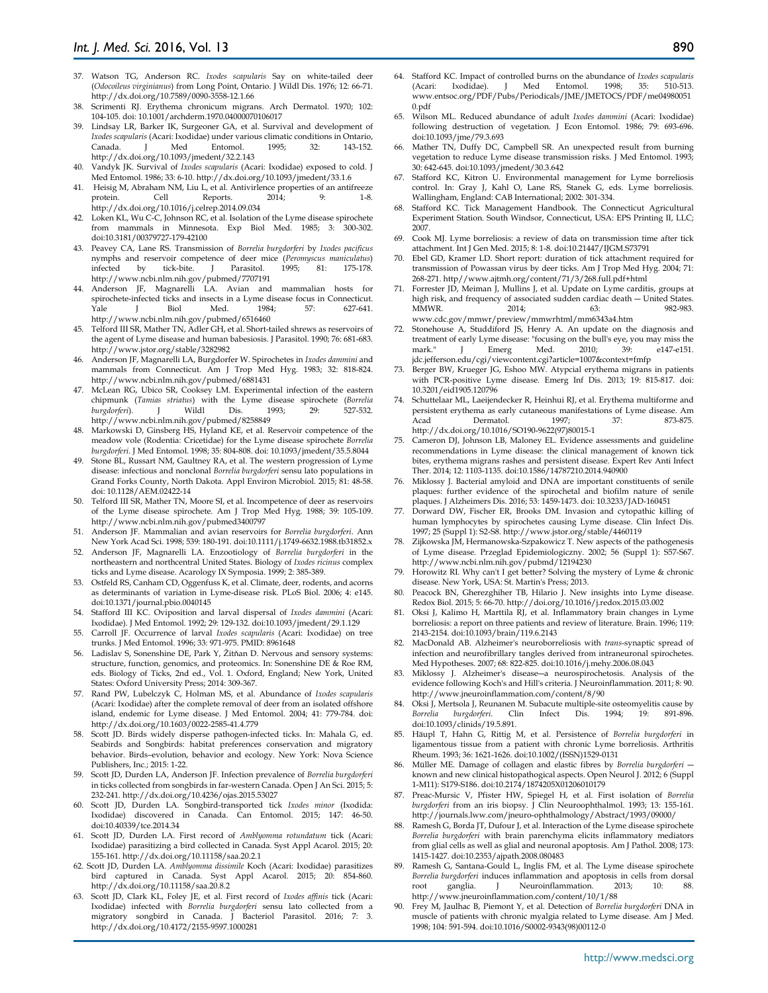- 37. Watson TG, Anderson RC. *Ixodes scapularis* Say on white-tailed deer (*Odocoileus virginianus*) from Long Point, Ontario. J Wildl Dis. 1976; 12: 66-71. http://dx.doi.org/10.7589/0090-3558-12.1.66
- 38. Scrimenti RJ. Erythema chronicum migrans. Arch Dermatol. 1970; 102: 104-105. doi: 10.1001/archderm.1970.04000070106017
- 39. Lindsay LR, Barker IK, Surgeoner GA, et al. Survival and development of *Ixodes scapularis* (Acari: Ixodidae) under various climatic conditions in Ontario, Canada. J Med Entomol. 1995; 32: 143-152. http://dx.doi.org/10.1093/jmedent/32.2.143
- 40. Vandyk JK. Survival of *Ixodes scapularis* (Acari: Ixodidae) exposed to cold. J Med Entomol. 1986; 33: 6-10. http://dx.doi.org/10.1093/jmedent/33.1.6
- 41. Heisig M, Abraham NM, Liu L, et al. Antivirlence properties of an antifreeze protein. Cell Reports. 2014; 9: Reports. http://dx.doi.org/10.1016/j.celrep.2014.09.034
- Loken KL, Wu C-C, Johnson RC, et al. Isolation of the Lyme disease spirochete from mammals in Minnesota. Exp Biol Med. 1985; 3: 300-302. doi:10.3181/00379727-179-42100
- 43. Peavey CA, Lane RS. Transmission of *Borrelia burgdorferi* by *Ixodes pacificus* nymphs and reservoir competence of deer mice (*Peromyscus maniculatus*) infected by tick-bite. I Parasitol. 1995: 81: 175-178. http://www.ncbi.nlm.nih.gov/pubmed/7707191
- 44. Anderson JF, Magnarelli LA. Avian and mammalian hosts for spirochete-infected ticks and insects in a Lyme disease focus in Connecticut. Yale J Biol Med. 1984; 57: 627-641. http://www.ncbi.nlm.nih.gov/pubmed/6516460
- 45. Telford III SR, Mather TN, Adler GH, et al. Short-tailed shrews as reservoirs of the agent of Lyme disease and human babesiosis. J Parasitol. 1990; 76: 681-683. http://www.jstor.org/stable/3282982
- 46. Anderson JF, Magnarelli LA, Burgdorfer W. Spirochetes in *Ixodes dammini* and mammals from Connecticut. Am J Trop Med Hyg. 1983; 32: 818-824. http://www.ncbi.nlm.nih.gov/pubmed/6881431
- 47. McLean RG, Ubico SR, Cooksey LM. Experimental infection of the eastern chipmunk (*Tamias striatus*) with the Lyme disease spirochete (*Borrelia burgdorferi*). J Wildl Dis. 1993; 29: 527-532. http://www.ncbi.nlm.nih.gov/pubmed/8258849
- Markowski D, Ginsberg HS, Hyland KE, et al. Reservoir competence of the meadow vole (Rodentia: Cricetidae) for the Lyme disease spirochete *Borrelia burgdorferi*. J Med Entomol. 1998; 35: 804-808. doi: 10.1093/jmedent/35.5.8044
- 49. Stone BL, Russart NM, Gaultney RA, et al. The western progression of Lyme disease: infectious and nonclonal *Borrelia burgdorferi* sensu lato populations in Grand Forks County, North Dakota. Appl Environ Microbiol. 2015; 81: 48-58. doi: 10.1128/AEM.02422-14
- 50. Telford III SR, Mather TN, Moore SI, et al. Incompetence of deer as reservoirs of the Lyme disease spirochete. Am J Trop Med Hyg. 1988; 39: 105-109. http://www.ncbi.nlm.nih.gov/pubmed3400797
- 51. Anderson JF. Mammalian and avian reservoirs for *Borrelia burgdorferi*. Ann New York Acad Sci. 1998; 539: 180-191. doi:10.1111/j.1749-6632.1988.tb31852.x
- 52. Anderson JF, Magnarelli LA. Enzootiology of *Borrelia burgdorferi* in the northeastern and northcentral United States. Biology of *Ixodes ricinus* complex ticks and Lyme disease. Acarology IX Symposia. 1999; 2: 385-389.
- 53. Ostfeld RS, Canham CD, Oggenfuss K, et al. Climate, deer, rodents, and acorns as determinants of variation in Lyme-disease risk. PLoS Biol. 2006; 4: e145. doi:10.1371/journal.pbio.0040145
- 54. Stafford III KC. Oviposition and larval dispersal of *Ixodes dammini* (Acari: Ixodidae). J Med Entomol. 1992; 29: 129-132. doi:10.1093/jmedent/29.1.129
- 55. Carroll JF. Occurrence of larval *Ixodes scapularis* (Acari: Ixodidae) on tree trunks. J Med Entomol. 1996; 33: 971-975. PMID: 8961648
- 56. Ladislav S, Sonenshine DE, Park Y, Žitňan D. Nervous and sensory systems: structure, function, genomics, and proteomics. In: Sonenshine DE & Roe RM, eds. Biology of Ticks, 2nd ed., Vol. 1. Oxford, England; New York, United States: Oxford University Press; 2014: 309-367.
- 57. Rand PW, Lubelczyk C, Holman MS, et al. Abundance of *Ixodes scapularis* (Acari: Ixodidae) after the complete removal of deer from an isolated offshore island, endemic for Lyme disease. J Med Entomol. 2004; 41: 779-784. doi: http://dx.doi.org/10.1603/0022-2585-41.4.779
- Scott JD. Birds widely disperse pathogen-infected ticks. In: Mahala G, ed. Seabirds and Songbirds: habitat preferences conservation and migratory behavior. Birds–evolution, behavior and ecology. New York: Nova Science Publishers, Inc.; 2015: 1-22.
- 59. Scott JD, Durden LA, Anderson JF. Infection prevalence of *Borrelia burgdorferi* in ticks collected from songbirds in far-western Canada. Open J An Sci. 2015; 5: 232-241. http://dx.doi.org/10.4236/ojas.2015.53027
- 60. Scott JD, Durden LA. Songbird-transported tick *Ixodes minor* (Ixodida: Ixodidae) discovered in Canada. Can Entomol. 2015; 147: 46-50. doi:10.40339/tce.2014.34
- 61. Scott JD, Durden LA. First record of *Amblyomma rotundatum* tick (Acari: Ixodidae) parasitizing a bird collected in Canada. Syst Appl Acarol. 2015; 20: 155-161. http://dx.doi.org/10.11158/saa.20.2.1
- 62. Scott JD, Durden LA. *Amblyomma dissimile* Koch (Acari: Ixodidae) parasitizes bird captured in Canada. Syst Appl Acarol. 2015; 20: 854-860. http://dx.doi.org/10.11158/saa.20.8.2
- 63. Scott JD, Clark KL, Foley JE, et al. First record of *Ixodes affinis* tick (Acari: Ixodidae) infected with *Borrelia burgdorferi* sensu lato collected from a migratory songbird in Canada. J Bacteriol Parasitol. 2016; 7: 3. http://dx.doi.org/10.4172/2155-9597.1000281
- 64. Stafford KC. Impact of controlled burns on the abundance of *Ixodes scapularis* J Med Entomol. 1998; www.entsoc.org/PDF/Pubs/Periodicals/JME/JMETOCS/PDF/me04980051 0.pdf
- 65. Wilson ML. Reduced abundance of adult *Ixodes dammini* (Acari: Ixodidae) following destruction of vegetation. J Econ Entomol. 1986; 79: 693-696. doi:10.1093/jme/79.3.693
- 66. Mather TN, Duffy DC, Campbell SR. An unexpected result from burning vegetation to reduce Lyme disease transmission risks. J Med Entomol. 1993; 30: 642-645. doi:10.1093/jmedent/30.3.642
- 67. Stafford KC, Kitron U. Environmental management for Lyme borreliosis control. In: Gray J, Kahl O, Lane RS, Stanek G, eds. Lyme borreliosis. Wallingham, England: CAB International; 2002: 301-334.
- Stafford KC. Tick Management Handbook. The Connecticut Agricultural Experiment Station. South Windsor, Connecticut, USA: EPS Printing II, LLC; 2007.
- 69. Cook MJ. Lyme borreliosis: a review of data on transmission time after tick attachment. Int J Gen Med. 2015; 8: 1-8. doi:10.21447/IJGM.S73791
- 70. Ebel GD, Kramer LD. Short report: duration of tick attachment required for transmission of Powassan virus by deer ticks. Am J Trop Med Hyg. 2004; 71: 268-271. http//www.ajtmh.org/content/71/3/268.full.pdf+html
- 71. Forrester JD, Meiman J, Mullins J, et al. Update on Lyme carditis, groups at high risk, and frequency of associated sudden cardiac death ― United States. MMWR. 2014; 63: 982-983. www.cdc.gov/mmwr/preview/mmwrhtml/mm6343a4.htm
- 72. Stonehouse A, Studdiford JS, Henry A. An update on the diagnosis and treatment of early Lyme disease: "focusing on the bull's eye, you may miss the mark." J Emerg Med. 2010; 39: e147-e151. jdc.jefferson.edu/cgi/viewcontent.cgi?article=1007&context=fmfp
- Berger BW, Krueger JG, Eshoo MW. Atypcial erythema migrans in patients with PCR-positive Lyme disease. Emerg Inf Dis. 2013; 19: 815-817. doi: 10.3201/eid1905.120796
- 74. Schuttelaar ML, Laeijendecker R, Heinhui RJ, et al. Erythema multiforme and persistent erythema as early cutaneous manifestations of Lyme disease. Am Acad Dermatol. 1997; 37: 873-875. Acad Dermatol. 1997; 37: 873-875. http://dx.doi.org/10.1016/SO190-9622(97)80015-1
- 75. Cameron DJ, Johnson LB, Maloney EL. Evidence assessments and guideline recommendations in Lyme disease: the clinical management of known tick bites, erythema migrans rashes and persistent disease. Expert Rev Anti Infect Ther. 2014; 12: 1103-1135. doi:10.1586/14787210.2014.940900
- Miklossy J. Bacterial amyloid and DNA are important constituents of senile plaques: further evidence of the spirochetal and biofilm nature of senile plaques. J Alzheimers Dis. 2016; 53: 1459-1473. doi: 10.3233/JAD-160451
- 77. Dorward DW, Fischer ER, Brooks DM. Invasion and cytopathic killing of human lymphocytes by spirochetes causing Lyme disease. Clin Infect Dis. 1997; 25 (Suppl 1): S2-S8. http://www.jstor.org/stable/4460119
- Zijkowska JM, Hermanowska-Szpakowicz T. New aspects of the pathogenesis of Lyme disease. Przeglad Epidemiologiczny. 2002; 56 (Suppl 1): S57-S67. http://www.ncbi.nlm.nih.gov/pubmd/12194230
- 79. Horowitz RI. Why can't I get better? Solving the mystery of Lyme & chronic disease. New York, USA: St. Martin's Press; 2013.
- 80. Peacock BN, Gherezghiher TB, Hilario J. New insights into Lyme disease. Redox Biol. 2015; 5: 66-70. http://doi.org/10.1016/j.redox.2015.03.002
- 81. Oksi J, Kalimo H, Marttila RJ, et al. Inflammatory brain changes in Lyme borreliosis: a report on three patients and review of literature. Brain. 1996; 119: 2143-2154. doi:10.1093/brain/119.6.2143
- 82. MacDonald AB. Alzheimer's neuroborreliosis with *trans*-synaptic spread of infection and neurofibrillary tangles derived from intraneuronal spirochetes. Med Hypotheses. 2007; 68: 822-825. doi:10.1016/j.mehy.2006.08.043
- 83. Miklossy J. Alzheimer's disease―a neurospirochetosis. Analysis of the evidence following Koch's and Hill's criteria. J Neuroinflammation. 2011; 8: 90. http://www.jneuroinflammation.com/content/8/90
- 84. Oksi J, Mertsola J, Reunanen M. Subacute multiple-site osteomyelitis cause by *Borrelia burgdorferi*. Clin Infect Dis. 1994; 19: 891-896. doi:10.1093/clinids/19.5.891.
- 85. Häupl T, Hahn G, Rittig M, et al. Persistence of *Borrelia burgdorferi* in ligamentous tissue from a patient with chronic Lyme borreliosis. Arthritis Rheum. 1993; 36: 1621-1626. doi:10.1002/(ISSN)1529-0131
- 86. Müller ME. Damage of collagen and elastic fibres by *Borrelia burgdorferi* ― known and new clinical histopathogical aspects. Open Neurol J. 2012; 6 (Suppl 1-M11): S179-S186. doi:10.2174/1874205X01206010179
- 87. Preac-Mursic V, Pfister HW, Spiegel H, et al. First isolation of *Borrelia burgdorferi* from an iris biopsy. J Clin Neuroophthalmol. 1993; 13: 155-161. http://journals.lww.com/jneuro-ophthalmology/Abstract/1993/09000/
- Ramesh G, Borda JT, Dufour J, et al. Interaction of the Lyme disease spirochete *Borrelia burgdorferi* with brain parenchyma elicits inflammatory mediators from glial cells as well as glial and neuronal apoptosis. Am J Pathol. 2008; 173: 1415-1427. doi:10.2353/ajpath.2008.080483
- Ramesh G, Santana-Gould L, Inglis FM, et al. The Lyme disease spirochete *Borrelia burgdorferi* induces inflammation and apoptosis in cells from dorsal root ganglia. J Neuroinflammation. 2013; 10: http://www.jneuroinflammation.com/content/10/1/88
- 90. Frey M, Jaulhac B, Piemont Y, et al. Detection of *Borrelia burgdorferi* DNA in muscle of patients with chronic myalgia related to Lyme disease. Am J Med. 1998; 104: 591-594. doi:10.1016/S0002-9343(98)00112-0